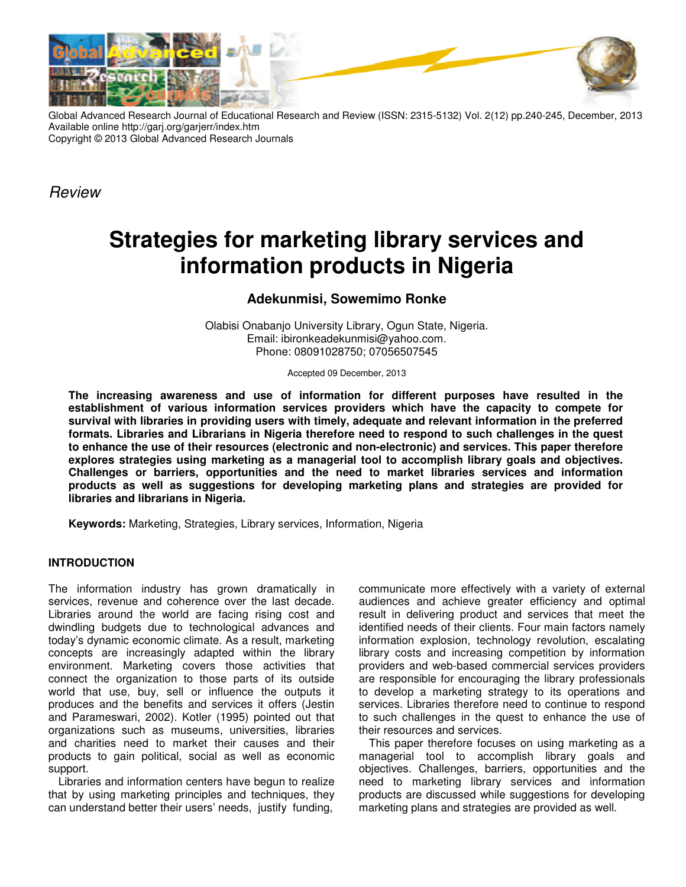

Global Advanced Research Journal of Educational Research and Review (ISSN: 2315-5132) Vol. 2(12) pp.240-245, December, 2013 Available online http://garj.org/garjerr/index.htm Copyright © 2013 Global Advanced Research Journals

Review

# **Strategies for marketing library services and information products in Nigeria**

# **Adekunmisi, Sowemimo Ronke**

Olabisi Onabanjo University Library, Ogun State, Nigeria. Email: ibironkeadekunmisi@yahoo.com. Phone: 08091028750; 07056507545

Accepted 09 December, 2013

**The increasing awareness and use of information for different purposes have resulted in the establishment of various information services providers which have the capacity to compete for survival with libraries in providing users with timely, adequate and relevant information in the preferred formats. Libraries and Librarians in Nigeria therefore need to respond to such challenges in the quest to enhance the use of their resources (electronic and non-electronic) and services. This paper therefore explores strategies using marketing as a managerial tool to accomplish library goals and objectives. Challenges or barriers, opportunities and the need to market libraries services and information products as well as suggestions for developing marketing plans and strategies are provided for libraries and librarians in Nigeria.** 

**Keywords:** Marketing, Strategies, Library services, Information, Nigeria

# **INTRODUCTION**

The information industry has grown dramatically in services, revenue and coherence over the last decade. Libraries around the world are facing rising cost and dwindling budgets due to technological advances and today's dynamic economic climate. As a result, marketing concepts are increasingly adapted within the library environment. Marketing covers those activities that connect the organization to those parts of its outside world that use, buy, sell or influence the outputs it produces and the benefits and services it offers (Jestin and Parameswari, 2002). Kotler (1995) pointed out that organizations such as museums, universities, libraries and charities need to market their causes and their products to gain political, social as well as economic support.

Libraries and information centers have begun to realize that by using marketing principles and techniques, they can understand better their users' needs, justify funding,

communicate more effectively with a variety of external audiences and achieve greater efficiency and optimal result in delivering product and services that meet the identified needs of their clients. Four main factors namely information explosion, technology revolution, escalating library costs and increasing competition by information providers and web-based commercial services providers are responsible for encouraging the library professionals to develop a marketing strategy to its operations and services. Libraries therefore need to continue to respond to such challenges in the quest to enhance the use of their resources and services.

This paper therefore focuses on using marketing as a managerial tool to accomplish library goals and objectives. Challenges, barriers, opportunities and the need to marketing library services and information products are discussed while suggestions for developing marketing plans and strategies are provided as well.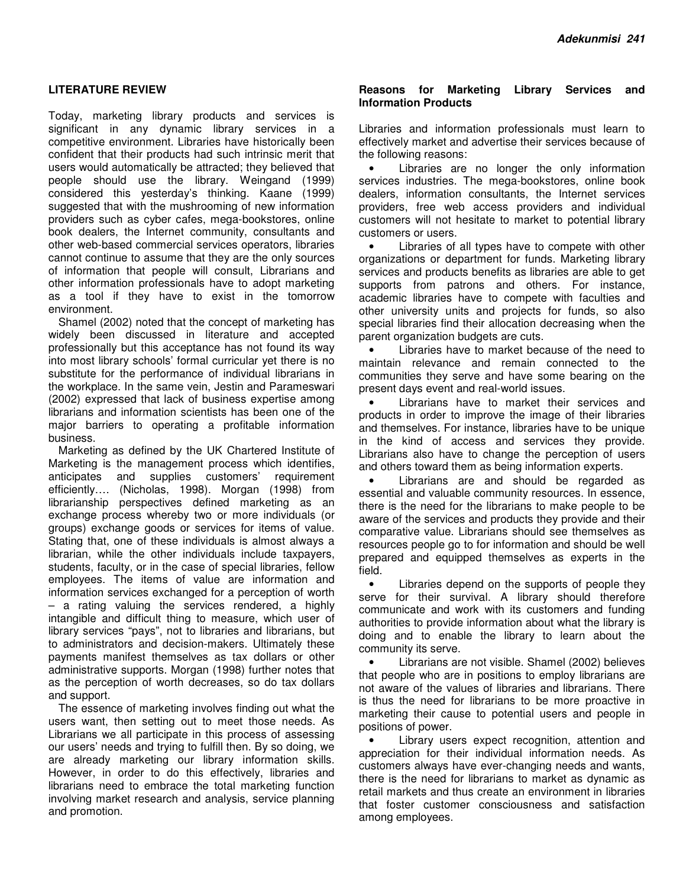#### **LITERATURE REVIEW**

Today, marketing library products and services is significant in any dynamic library services in a competitive environment. Libraries have historically been confident that their products had such intrinsic merit that users would automatically be attracted; they believed that people should use the library. Weingand (1999) considered this yesterday's thinking. Kaane (1999) suggested that with the mushrooming of new information providers such as cyber cafes, mega-bookstores, online book dealers, the Internet community, consultants and other web-based commercial services operators, libraries cannot continue to assume that they are the only sources of information that people will consult, Librarians and other information professionals have to adopt marketing as a tool if they have to exist in the tomorrow environment.

Shamel (2002) noted that the concept of marketing has widely been discussed in literature and accepted professionally but this acceptance has not found its way into most library schools' formal curricular yet there is no substitute for the performance of individual librarians in the workplace. In the same vein, Jestin and Parameswari (2002) expressed that lack of business expertise among librarians and information scientists has been one of the major barriers to operating a profitable information business.

Marketing as defined by the UK Chartered Institute of Marketing is the management process which identifies, anticipates and supplies customers' requirement efficiently…. (Nicholas, 1998). Morgan (1998) from librarianship perspectives defined marketing as an exchange process whereby two or more individuals (or groups) exchange goods or services for items of value. Stating that, one of these individuals is almost always a librarian, while the other individuals include taxpayers, students, faculty, or in the case of special libraries, fellow employees. The items of value are information and information services exchanged for a perception of worth – a rating valuing the services rendered, a highly intangible and difficult thing to measure, which user of library services "pays", not to libraries and librarians, but to administrators and decision-makers. Ultimately these payments manifest themselves as tax dollars or other administrative supports. Morgan (1998) further notes that as the perception of worth decreases, so do tax dollars and support.

The essence of marketing involves finding out what the users want, then setting out to meet those needs. As Librarians we all participate in this process of assessing our users' needs and trying to fulfill then. By so doing, we are already marketing our library information skills. However, in order to do this effectively, libraries and librarians need to embrace the total marketing function involving market research and analysis, service planning and promotion.

#### **Reasons for Marketing Library Services and Information Products**

Libraries and information professionals must learn to effectively market and advertise their services because of the following reasons:

Libraries are no longer the only information services industries. The mega-bookstores, online book dealers, information consultants, the Internet services providers, free web access providers and individual customers will not hesitate to market to potential library customers or users.

Libraries of all types have to compete with other organizations or department for funds. Marketing library services and products benefits as libraries are able to get supports from patrons and others. For instance, academic libraries have to compete with faculties and other university units and projects for funds, so also special libraries find their allocation decreasing when the parent organization budgets are cuts.

Libraries have to market because of the need to maintain relevance and remain connected to the communities they serve and have some bearing on the present days event and real-world issues.

• Librarians have to market their services and products in order to improve the image of their libraries and themselves. For instance, libraries have to be unique in the kind of access and services they provide. Librarians also have to change the perception of users and others toward them as being information experts.

• Librarians are and should be regarded as essential and valuable community resources. In essence, there is the need for the librarians to make people to be aware of the services and products they provide and their comparative value. Librarians should see themselves as resources people go to for information and should be well prepared and equipped themselves as experts in the field.

• Libraries depend on the supports of people they serve for their survival. A library should therefore communicate and work with its customers and funding authorities to provide information about what the library is doing and to enable the library to learn about the community its serve.

• Librarians are not visible. Shamel (2002) believes that people who are in positions to employ librarians are not aware of the values of libraries and librarians. There is thus the need for librarians to be more proactive in marketing their cause to potential users and people in positions of power.

Library users expect recognition, attention and appreciation for their individual information needs. As customers always have ever-changing needs and wants, there is the need for librarians to market as dynamic as retail markets and thus create an environment in libraries that foster customer consciousness and satisfaction among employees.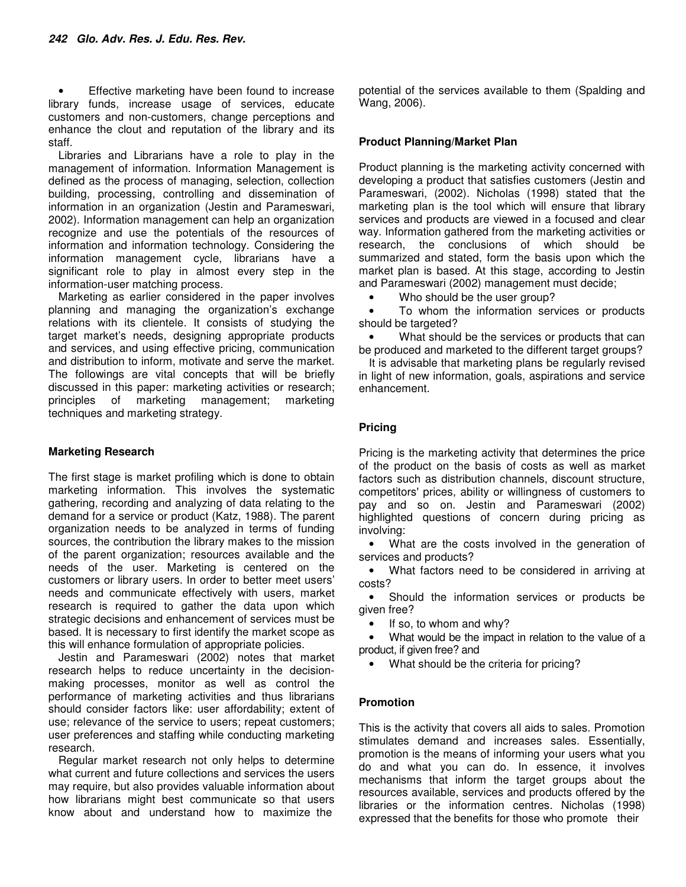• Effective marketing have been found to increase library funds, increase usage of services, educate customers and non-customers, change perceptions and enhance the clout and reputation of the library and its staff.

Libraries and Librarians have a role to play in the management of information. Information Management is defined as the process of managing, selection, collection building, processing, controlling and dissemination of information in an organization (Jestin and Parameswari, 2002). Information management can help an organization recognize and use the potentials of the resources of information and information technology. Considering the information management cycle, librarians have a significant role to play in almost every step in the information-user matching process.

Marketing as earlier considered in the paper involves planning and managing the organization's exchange relations with its clientele. It consists of studying the target market's needs, designing appropriate products and services, and using effective pricing, communication and distribution to inform, motivate and serve the market. The followings are vital concepts that will be briefly discussed in this paper: marketing activities or research; principles of marketing management; marketing techniques and marketing strategy.

#### **Marketing Research**

The first stage is market profiling which is done to obtain marketing information. This involves the systematic gathering, recording and analyzing of data relating to the demand for a service or product (Katz, 1988). The parent organization needs to be analyzed in terms of funding sources, the contribution the library makes to the mission of the parent organization; resources available and the needs of the user. Marketing is centered on the customers or library users. In order to better meet users' needs and communicate effectively with users, market research is required to gather the data upon which strategic decisions and enhancement of services must be based. It is necessary to first identify the market scope as this will enhance formulation of appropriate policies.

Jestin and Parameswari (2002) notes that market research helps to reduce uncertainty in the decisionmaking processes, monitor as well as control the performance of marketing activities and thus librarians should consider factors like: user affordability; extent of use; relevance of the service to users; repeat customers; user preferences and staffing while conducting marketing research.

Regular market research not only helps to determine what current and future collections and services the users may require, but also provides valuable information about how librarians might best communicate so that users know about and understand how to maximize the

potential of the services available to them (Spalding and Wang, 2006).

## **Product Planning/Market Plan**

Product planning is the marketing activity concerned with developing a product that satisfies customers (Jestin and Parameswari, (2002). Nicholas (1998) stated that the marketing plan is the tool which will ensure that library services and products are viewed in a focused and clear way. Information gathered from the marketing activities or research, the conclusions of which should be summarized and stated, form the basis upon which the market plan is based. At this stage, according to Jestin and Parameswari (2002) management must decide;

• Who should be the user group?

• To whom the information services or products should be targeted?

• What should be the services or products that can be produced and marketed to the different target groups?

It is advisable that marketing plans be regularly revised in light of new information, goals, aspirations and service enhancement.

### **Pricing**

Pricing is the marketing activity that determines the price of the product on the basis of costs as well as market factors such as distribution channels, discount structure, competitors' prices, ability or willingness of customers to pay and so on. Jestin and Parameswari (2002) highlighted questions of concern during pricing as involving:

• What are the costs involved in the generation of services and products?

• What factors need to be considered in arriving at costs?

• Should the information services or products be given free?

• If so, to whom and why?

What would be the impact in relation to the value of a product, if given free? and

• What should be the criteria for pricing?

# **Promotion**

This is the activity that covers all aids to sales. Promotion stimulates demand and increases sales. Essentially, promotion is the means of informing your users what you do and what you can do. In essence, it involves mechanisms that inform the target groups about the resources available, services and products offered by the libraries or the information centres. Nicholas (1998) expressed that the benefits for those who promote their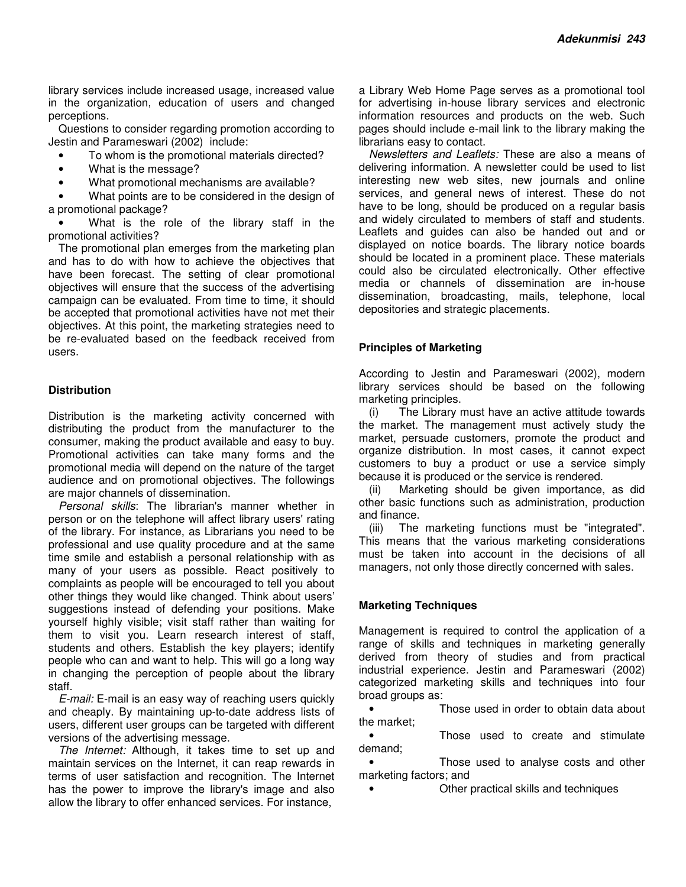library services include increased usage, increased value in the organization, education of users and changed perceptions.

Questions to consider regarding promotion according to Jestin and Parameswari (2002) include:

- To whom is the promotional materials directed?
- What is the message?
- What promotional mechanisms are available?

What points are to be considered in the design of a promotional package?

What is the role of the library staff in the promotional activities?

The promotional plan emerges from the marketing plan and has to do with how to achieve the objectives that have been forecast. The setting of clear promotional objectives will ensure that the success of the advertising campaign can be evaluated. From time to time, it should be accepted that promotional activities have not met their objectives. At this point, the marketing strategies need to be re-evaluated based on the feedback received from users.

#### **Distribution**

Distribution is the marketing activity concerned with distributing the product from the manufacturer to the consumer, making the product available and easy to buy. Promotional activities can take many forms and the promotional media will depend on the nature of the target audience and on promotional objectives. The followings are major channels of dissemination.

Personal skills: The librarian's manner whether in person or on the telephone will affect library users' rating of the library. For instance, as Librarians you need to be professional and use quality procedure and at the same time smile and establish a personal relationship with as many of your users as possible. React positively to complaints as people will be encouraged to tell you about other things they would like changed. Think about users' suggestions instead of defending your positions. Make yourself highly visible; visit staff rather than waiting for them to visit you. Learn research interest of staff, students and others. Establish the key players; identify people who can and want to help. This will go a long way in changing the perception of people about the library staff.

E-mail: E-mail is an easy way of reaching users quickly and cheaply. By maintaining up-to-date address lists of users, different user groups can be targeted with different versions of the advertising message.

The Internet: Although, it takes time to set up and maintain services on the Internet, it can reap rewards in terms of user satisfaction and recognition. The Internet has the power to improve the library's image and also allow the library to offer enhanced services. For instance,

a Library Web Home Page serves as a promotional tool for advertising in-house library services and electronic information resources and products on the web. Such pages should include e-mail link to the library making the librarians easy to contact.

Newsletters and Leaflets: These are also a means of delivering information. A newsletter could be used to list interesting new web sites, new journals and online services, and general news of interest. These do not have to be long, should be produced on a regular basis and widely circulated to members of staff and students. Leaflets and guides can also be handed out and or displayed on notice boards. The library notice boards should be located in a prominent place. These materials could also be circulated electronically. Other effective media or channels of dissemination are in-house dissemination, broadcasting, mails, telephone, local depositories and strategic placements.

#### **Principles of Marketing**

According to Jestin and Parameswari (2002), modern library services should be based on the following marketing principles.

(i) The Library must have an active attitude towards the market. The management must actively study the market, persuade customers, promote the product and organize distribution. In most cases, it cannot expect customers to buy a product or use a service simply because it is produced or the service is rendered.

(ii) Marketing should be given importance, as did other basic functions such as administration, production and finance.

(iii) The marketing functions must be "integrated". This means that the various marketing considerations must be taken into account in the decisions of all managers, not only those directly concerned with sales.

#### **Marketing Techniques**

Management is required to control the application of a range of skills and techniques in marketing generally derived from theory of studies and from practical industrial experience. Jestin and Parameswari (2002) categorized marketing skills and techniques into four broad groups as:

Those used in order to obtain data about the market;

• Those used to create and stimulate demand;

Those used to analyse costs and other marketing factors; and

• Other practical skills and techniques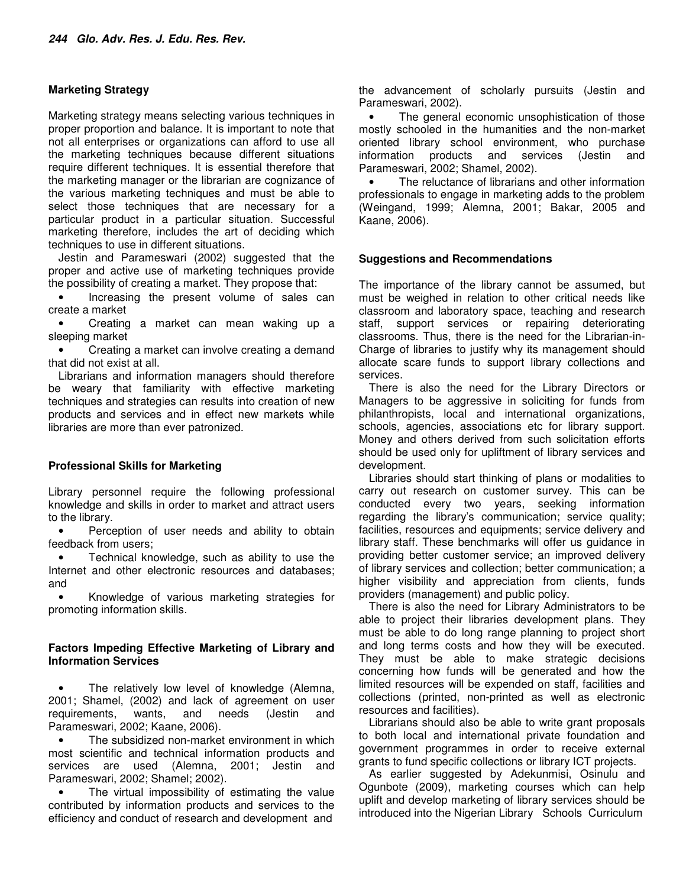#### **Marketing Strategy**

Marketing strategy means selecting various techniques in proper proportion and balance. It is important to note that not all enterprises or organizations can afford to use all the marketing techniques because different situations require different techniques. It is essential therefore that the marketing manager or the librarian are cognizance of the various marketing techniques and must be able to select those techniques that are necessary for a particular product in a particular situation. Successful marketing therefore, includes the art of deciding which techniques to use in different situations.

Jestin and Parameswari (2002) suggested that the proper and active use of marketing techniques provide the possibility of creating a market. They propose that:

• Increasing the present volume of sales can create a market

• Creating a market can mean waking up a sleeping market

• Creating a market can involve creating a demand that did not exist at all.

Librarians and information managers should therefore be weary that familiarity with effective marketing techniques and strategies can results into creation of new products and services and in effect new markets while libraries are more than ever patronized.

#### **Professional Skills for Marketing**

Library personnel require the following professional knowledge and skills in order to market and attract users to the library.

Perception of user needs and ability to obtain feedback from users;

• Technical knowledge, such as ability to use the Internet and other electronic resources and databases; and

• Knowledge of various marketing strategies for promoting information skills.

#### **Factors Impeding Effective Marketing of Library and Information Services**

The relatively low level of knowledge (Alemna, 2001; Shamel, (2002) and lack of agreement on user requirements, wants, and needs (Jestin and Parameswari, 2002; Kaane, 2006).

• The subsidized non-market environment in which most scientific and technical information products and services are used (Alemna, 2001; Jestin and Parameswari, 2002; Shamel; 2002).

The virtual impossibility of estimating the value contributed by information products and services to the efficiency and conduct of research and development and

the advancement of scholarly pursuits (Jestin and Parameswari, 2002).

The general economic unsophistication of those mostly schooled in the humanities and the non-market oriented library school environment, who purchase information products and services (Jestin and Parameswari, 2002; Shamel, 2002).

The reluctance of librarians and other information professionals to engage in marketing adds to the problem (Weingand, 1999; Alemna, 2001; Bakar, 2005 and Kaane, 2006).

#### **Suggestions and Recommendations**

The importance of the library cannot be assumed, but must be weighed in relation to other critical needs like classroom and laboratory space, teaching and research staff, support services or repairing deteriorating classrooms. Thus, there is the need for the Librarian-in-Charge of libraries to justify why its management should allocate scare funds to support library collections and services.

There is also the need for the Library Directors or Managers to be aggressive in soliciting for funds from philanthropists, local and international organizations, schools, agencies, associations etc for library support. Money and others derived from such solicitation efforts should be used only for upliftment of library services and development.

Libraries should start thinking of plans or modalities to carry out research on customer survey. This can be conducted every two years, seeking information regarding the library's communication; service quality; facilities, resources and equipments; service delivery and library staff. These benchmarks will offer us guidance in providing better customer service; an improved delivery of library services and collection; better communication; a higher visibility and appreciation from clients, funds providers (management) and public policy.

There is also the need for Library Administrators to be able to project their libraries development plans. They must be able to do long range planning to project short and long terms costs and how they will be executed. They must be able to make strategic decisions concerning how funds will be generated and how the limited resources will be expended on staff, facilities and collections (printed, non-printed as well as electronic resources and facilities).

Librarians should also be able to write grant proposals to both local and international private foundation and government programmes in order to receive external grants to fund specific collections or library ICT projects.

As earlier suggested by Adekunmisi, Osinulu and Ogunbote (2009), marketing courses which can help uplift and develop marketing of library services should be introduced into the Nigerian Library Schools Curriculum